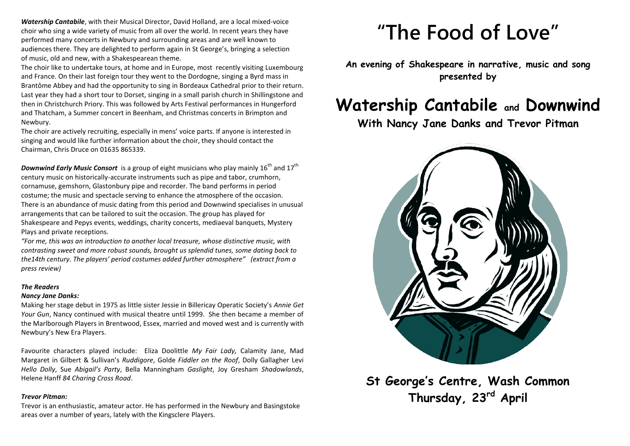*Watership Cantabile*, with their Musical Director, David Holland, are a local mixed-voice choir who sing a wide variety of music from all over the world. In recent years they have performed many concerts in Newbury and surrounding areas and are well known to audiences there. They are delighted to perform again in St George's, bringing a selection of music, old and new, with a Shakespearean theme.

The choir like to undertake tours, at home and in Europe, most recently visiting Luxembourg and France. On their last foreign tour they went to the Dordogne, singing a Byrd mass in Brantôme Abbey and had the opportunity to sing in Bordeaux Cathedral prior to their return. Last year they had a short tour to Dorset, singing in a small parish church in Shillingstone and then in Christchurch Priory. This was followed by Arts Festival performances in Hungerford and Thatcham, a Summer concert in Beenham, and Christmas concerts in Brimpton and Newbury.

The choir are actively recruiting, especially in mens' voice parts. If anyone is interested in singing and would like further information about the choir, they should contact the Chairman, Chris Druce on 01635 865339.

**Downwind Early Music Consort** is a group of eight musicians who play mainly 16<sup>th</sup> and 17<sup>th</sup> century music on historically-accurate instruments such as pipe and tabor, crumhorn, cornamuse, gemshorn, Glastonbury pipe and recorder. The band performs in period costume; the music and spectacle serving to enhance the atmosphere of the occasion. There is an abundance of music dating from this period and Downwind specialises in unusual arrangements that can be tailored to suit the occasion. The group has played for Shakespeare and Pepys events, weddings, charity concerts, mediaeval banquets, Mystery Plays and private receptions.

*"For me, this was an introduction to another local treasure, whose distinctive music, with contrasting sweet and more robust sounds, brought us splendid tunes, some dating back to the14th century. The players' period costumes added further atmosphere" (extract from a press review)*

#### *The Readers*

#### *Nancy Jane Danks:*

Making her stage debut in 1975 as little sister Jessie in Billericay Operatic Society's *Annie Get Your Gun*, Nancy continued with musical theatre until 1999. She then became a member of the Marlborough Players in Brentwood, Essex, married and moved west and is currently with Newbury's New Era Players.

Favourite characters played include: Eliza Doolittle *My Fair Lady,* Calamity Jane, Mad Margaret in Gilbert & Sullivan's *Ruddigore*, Golde *Fiddler on the Roof*, Dolly Gallagher Levi *Hello Dolly*, Sue *Abigail's Party*, Bella Manningham *Gaslight*, Joy Gresham *Shadowlands*, Helene Hanff *84 Charing Cross Road*.

#### *Trevor Pitman:*

Trevor is an enthusiastic, amateur actor. He has performed in the Newbury and Basingstoke areas over a number of years, lately with the Kingsclere Players.

# **"The Food of Love"**

**An evening of Shakespeare in narrative, music and song presented by**

## **Watership Cantabile and Downwind**

**With Nancy Jane Danks and Trevor Pitman**



**St George's Centre, Wash Common Thursday, 23rd April**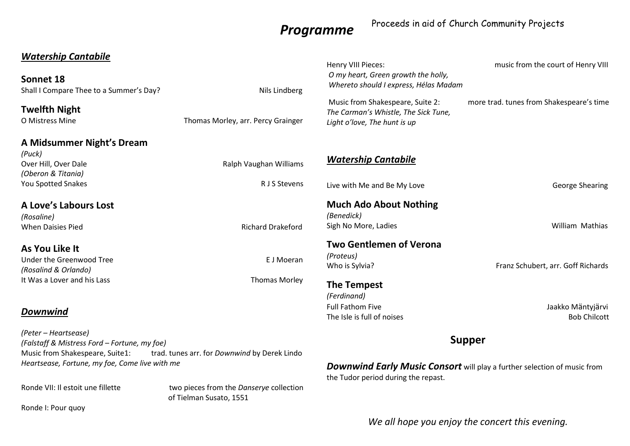## *Programme*

## Proceeds in aid of Church Community Projects

| <b>Watership Cantabile</b><br>Sonnet 18<br>Shall I Compare Thee to a Summer's Day?                                                | Nils Lindberg                                                      | Henry VIII Pieces:<br>O my heart, Green growth the holly,<br>Whereto should I express, Hélas Madam                     | music from the court of Henry VIII       |
|-----------------------------------------------------------------------------------------------------------------------------------|--------------------------------------------------------------------|------------------------------------------------------------------------------------------------------------------------|------------------------------------------|
| <b>Twelfth Night</b><br>O Mistress Mine                                                                                           | Thomas Morley, arr. Percy Grainger                                 | Music from Shakespeare, Suite 2:<br>The Carman's Whistle, The Sick Tune,<br>Light o'love, The hunt is up               | more trad. tunes from Shakespeare's time |
| A Midsummer Night's Dream                                                                                                         |                                                                    |                                                                                                                        |                                          |
| (Puck)<br>Over Hill, Over Dale<br>(Oberon & Titania)                                                                              | Ralph Vaughan Williams                                             | <b>Watership Cantabile</b>                                                                                             |                                          |
| You Spotted Snakes                                                                                                                | R J S Stevens                                                      | Live with Me and Be My Love                                                                                            | <b>George Shearing</b>                   |
| <b>A Love's Labours Lost</b><br>(Rosaline)                                                                                        |                                                                    | <b>Much Ado About Nothing</b><br>(Benedick)                                                                            |                                          |
| <b>When Daisies Pied</b>                                                                                                          | <b>Richard Drakeford</b>                                           | Sigh No More, Ladies                                                                                                   | William Mathias                          |
| As You Like It                                                                                                                    |                                                                    | <b>Two Gentlemen of Verona</b><br>(Proteus)                                                                            |                                          |
| Under the Greenwood Tree<br>(Rosalind & Orlando)                                                                                  | E J Moeran                                                         | Who is Sylvia?                                                                                                         | Franz Schubert, arr. Goff Richards       |
| It Was a Lover and his Lass                                                                                                       | <b>Thomas Morley</b>                                               | <b>The Tempest</b><br>(Ferdinand)                                                                                      |                                          |
| Downwind                                                                                                                          |                                                                    | <b>Full Fathom Five</b><br>The Isle is full of noises                                                                  | Jaakko Mäntyjärvi<br><b>Bob Chilcott</b> |
| (Peter – Heartsease)<br>(Falstaff & Mistress Ford - Fortune, my foe)                                                              |                                                                    | <b>Supper</b>                                                                                                          |                                          |
| Music from Shakespeare, Suite1:<br>trad. tunes arr. for Downwind by Derek Lindo<br>Heartsease, Fortune, my foe, Come live with me |                                                                    | <b>Downwind Early Music Consort</b> will play a further selection of music from<br>the Tudor period during the repast. |                                          |
| Ronde VII: Il estoit une fillette                                                                                                 | two pieces from the Danserye collection<br>of Tielman Susato, 1551 |                                                                                                                        |                                          |

Ronde I: Pour quoy

*We all hope you enjoy the concert this evening.*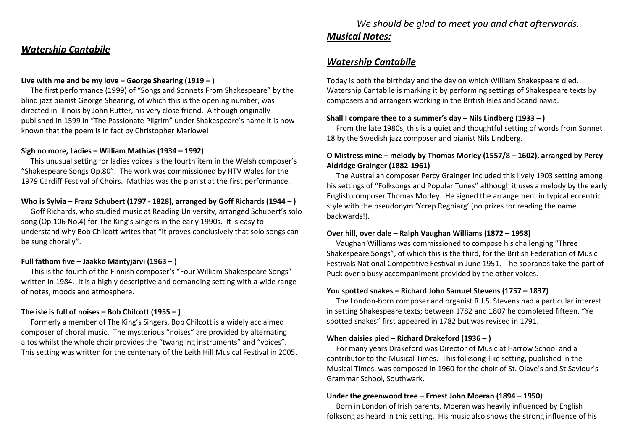## *Watership Cantabile*

#### **Live with me and be my love – George Shearing (1919 – )**

The first performance (1999) of "Songs and Sonnets From Shakespeare" by the blind jazz pianist George Shearing, of which this is the opening number, was directed in Illinois by John Rutter, his very close friend. Although originally published in 1599 in "The Passionate Pilgrim" under Shakespeare's name it is now known that the poem is in fact by Christopher Marlowe!

#### **Sigh no more, Ladies – William Mathias (1934 – 1992)**

This unusual setting for ladies voices is the fourth item in the Welsh composer's "Shakespeare Songs Op.80". The work was commissioned by HTV Wales for the 1979 Cardiff Festival of Choirs. Mathias was the pianist at the first performance.

#### **Who is Sylvia – Franz Schubert (1797 - 1828), arranged by Goff Richards (1944 – )**

 Goff Richards, who studied music at Reading University, arranged Schubert's solo song (Op.106 No.4) for The King's Singers in the early 1990s. It is easy to understand why Bob Chilcott writes that "it proves conclusively that solo songs can be sung chorally".

#### **Full fathom five – Jaakko Mäntyjärvi (1963 – )**

This is the fourth of the Finnish composer's "Four William Shakespeare Songs" written in 1984. It is a highly descriptive and demanding setting with a wide range of notes, moods and atmosphere.

#### **The isle is full of noises – Bob Chilcott (1955 – )**

Formerly a member of The King's Singers, Bob Chilcott is a widely acclaimed composer of choral music. The mysterious "noises" are provided by alternating altos whilst the whole choir provides the "twangling instruments" and "voices". This setting was written for the centenary of the Leith Hill Musical Festival in 2005.

## *We should be glad to meet you and chat afterwards. Musical Notes:*

## *Watership Cantabile*

Today is both the birthday and the day on which William Shakespeare died. Watership Cantabile is marking it by performing settings of Shakespeare texts by composers and arrangers working in the British Isles and Scandinavia.

#### **Shall I compare thee to a summer's day – Nils Lindberg (1933 – )**

 From the late 1980s, this is a quiet and thoughtful setting of words from Sonnet 18 by the Swedish jazz composer and pianist Nils Lindberg.

## **O Mistress mine – melody by Thomas Morley (1557/8 – 1602), arranged by Percy Aldridge Grainger (1882-1961)**

 The Australian composer Percy Grainger included this lively 1903 setting among his settings of "Folksongs and Popular Tunes" although it uses a melody by the early English composer Thomas Morley. He signed the arrangement in typical eccentric style with the pseudonym 'Ycrep Regniarg' (no prizes for reading the name backwards!).

#### **Over hill, over dale – Ralph Vaughan Williams (1872 – 1958)**

Vaughan Williams was commissioned to compose his challenging "Three Shakespeare Songs", of which this is the third, for the British Federation of Music Festivals National Competitive Festival in June 1951. The sopranos take the part of Puck over a busy accompaniment provided by the other voices.

#### **You spotted snakes – Richard John Samuel Stevens (1757 – 1837)**

The London-born composer and organist R.J.S. Stevens had a particular interest in setting Shakespeare texts; between 1782 and 1807 he completed fifteen. "Ye spotted snakes" first appeared in 1782 but was revised in 1791.

#### **When daisies pied – Richard Drakeford (1936 – )**

For many years Drakeford was Director of Music at Harrow School and a contributor to the Musical Times. This folksong-like setting, published in the Musical Times, was composed in 1960 for the choir of St. Olave's and St.Saviour's Grammar School, Southwark.

#### **Under the greenwood tree – Ernest John Moeran (1894 – 1950)**

Born in London of Irish parents, Moeran was heavily influenced by English folksong as heard in this setting. His music also shows the strong influence of his